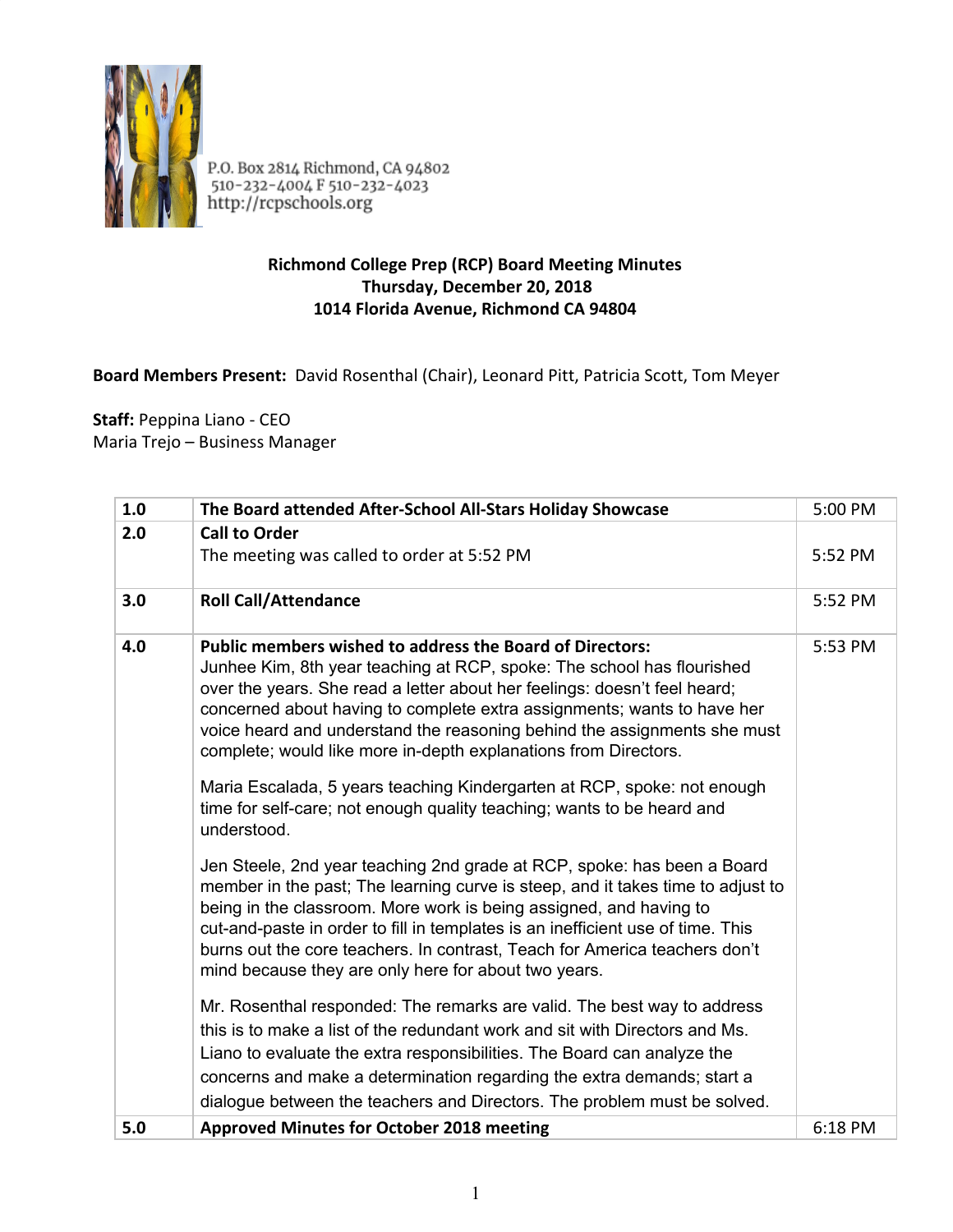

P.O. Box 2814 Richmond, CA 94802<br>510-232-4004 F 510-232-4023<br>http://rcpschools.org

## **Richmond College Prep (RCP) Board Meeting Minutes Thursday, December 20, 2018 1014 Florida Avenue, Richmond CA 94804**

## **Board Members Present:** David Rosenthal (Chair), Leonard Pitt, Patricia Scott, Tom Meyer

**Staff:** Peppina Liano - CEO Maria Trejo – Business Manager

| 1.0 | The Board attended After-School All-Stars Holiday Showcase                                                                                                                                                                                                                                                                                                                                                                                                                                                                  | 5:00 PM |
|-----|-----------------------------------------------------------------------------------------------------------------------------------------------------------------------------------------------------------------------------------------------------------------------------------------------------------------------------------------------------------------------------------------------------------------------------------------------------------------------------------------------------------------------------|---------|
| 2.0 | <b>Call to Order</b>                                                                                                                                                                                                                                                                                                                                                                                                                                                                                                        | 5:52 PM |
|     | The meeting was called to order at 5:52 PM                                                                                                                                                                                                                                                                                                                                                                                                                                                                                  |         |
| 3.0 | <b>Roll Call/Attendance</b>                                                                                                                                                                                                                                                                                                                                                                                                                                                                                                 | 5:52 PM |
| 4.0 | <b>Public members wished to address the Board of Directors:</b><br>Junhee Kim, 8th year teaching at RCP, spoke: The school has flourished<br>over the years. She read a letter about her feelings: doesn't feel heard;<br>concerned about having to complete extra assignments; wants to have her<br>voice heard and understand the reasoning behind the assignments she must<br>complete; would like more in-depth explanations from Directors.<br>Maria Escalada, 5 years teaching Kindergarten at RCP, spoke: not enough | 5:53 PM |
|     | time for self-care; not enough quality teaching; wants to be heard and<br>understood.                                                                                                                                                                                                                                                                                                                                                                                                                                       |         |
|     | Jen Steele, 2nd year teaching 2nd grade at RCP, spoke: has been a Board<br>member in the past; The learning curve is steep, and it takes time to adjust to<br>being in the classroom. More work is being assigned, and having to<br>cut-and-paste in order to fill in templates is an inefficient use of time. This<br>burns out the core teachers. In contrast, Teach for America teachers don't<br>mind because they are only here for about two years.                                                                   |         |
|     | Mr. Rosenthal responded: The remarks are valid. The best way to address<br>this is to make a list of the redundant work and sit with Directors and Ms.<br>Liano to evaluate the extra responsibilities. The Board can analyze the                                                                                                                                                                                                                                                                                           |         |
|     | concerns and make a determination regarding the extra demands; start a<br>dialogue between the teachers and Directors. The problem must be solved.                                                                                                                                                                                                                                                                                                                                                                          |         |
| 5.0 | <b>Approved Minutes for October 2018 meeting</b>                                                                                                                                                                                                                                                                                                                                                                                                                                                                            | 6:18 PM |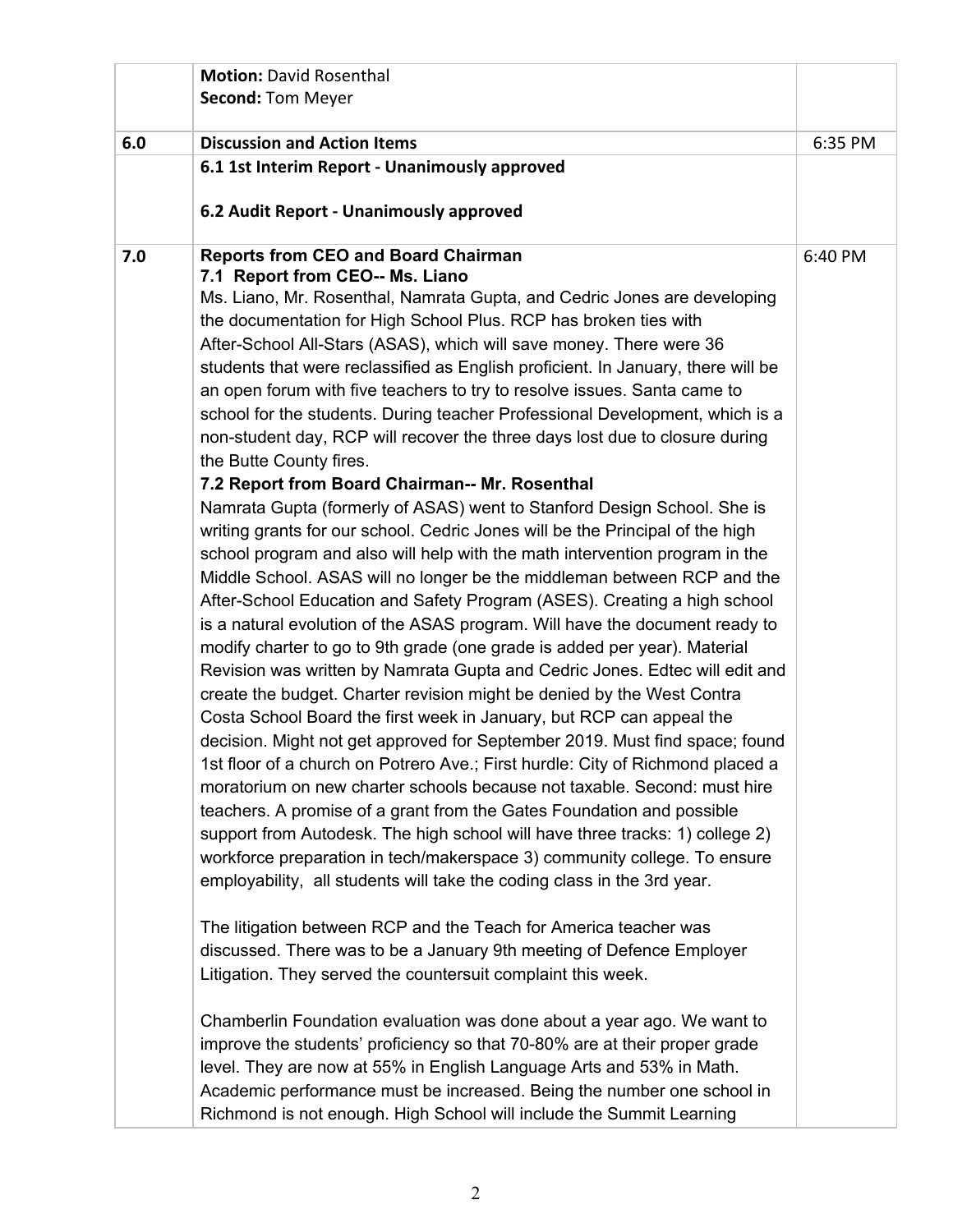| <b>Second: Tom Meyer</b><br>6.0<br><b>Discussion and Action Items</b><br>6:35 PM<br>6.1 1st Interim Report - Unanimously approved<br>6.2 Audit Report - Unanimously approved<br><b>Reports from CEO and Board Chairman</b><br>7.0<br>6:40 PM<br>7.1 Report from CEO-- Ms. Liano<br>Ms. Liano, Mr. Rosenthal, Namrata Gupta, and Cedric Jones are developing<br>the documentation for High School Plus. RCP has broken ties with<br>After-School All-Stars (ASAS), which will save money. There were 36<br>students that were reclassified as English proficient. In January, there will be<br>an open forum with five teachers to try to resolve issues. Santa came to<br>school for the students. During teacher Professional Development, which is a<br>non-student day, RCP will recover the three days lost due to closure during<br>the Butte County fires.<br>7.2 Report from Board Chairman-- Mr. Rosenthal<br>Namrata Gupta (formerly of ASAS) went to Stanford Design School. She is<br>writing grants for our school. Cedric Jones will be the Principal of the high<br>school program and also will help with the math intervention program in the<br>Middle School. ASAS will no longer be the middleman between RCP and the<br>After-School Education and Safety Program (ASES). Creating a high school<br>is a natural evolution of the ASAS program. Will have the document ready to<br>modify charter to go to 9th grade (one grade is added per year). Material<br>Revision was written by Namrata Gupta and Cedric Jones. Edtec will edit and<br>create the budget. Charter revision might be denied by the West Contra<br>Costa School Board the first week in January, but RCP can appeal the<br>decision. Might not get approved for September 2019. Must find space; found<br>1st floor of a church on Potrero Ave.; First hurdle: City of Richmond placed a<br>moratorium on new charter schools because not taxable. Second: must hire<br>teachers. A promise of a grant from the Gates Foundation and possible<br>support from Autodesk. The high school will have three tracks: 1) college 2)<br>workforce preparation in tech/makerspace 3) community college. To ensure<br>employability, all students will take the coding class in the 3rd year.<br>The litigation between RCP and the Teach for America teacher was<br>discussed. There was to be a January 9th meeting of Defence Employer<br>Litigation. They served the countersuit complaint this week.<br>Chamberlin Foundation evaluation was done about a year ago. We want to<br>improve the students' proficiency so that 70-80% are at their proper grade |  | <b>Motion: David Rosenthal</b> |  |
|----------------------------------------------------------------------------------------------------------------------------------------------------------------------------------------------------------------------------------------------------------------------------------------------------------------------------------------------------------------------------------------------------------------------------------------------------------------------------------------------------------------------------------------------------------------------------------------------------------------------------------------------------------------------------------------------------------------------------------------------------------------------------------------------------------------------------------------------------------------------------------------------------------------------------------------------------------------------------------------------------------------------------------------------------------------------------------------------------------------------------------------------------------------------------------------------------------------------------------------------------------------------------------------------------------------------------------------------------------------------------------------------------------------------------------------------------------------------------------------------------------------------------------------------------------------------------------------------------------------------------------------------------------------------------------------------------------------------------------------------------------------------------------------------------------------------------------------------------------------------------------------------------------------------------------------------------------------------------------------------------------------------------------------------------------------------------------------------------------------------------------------------------------------------------------------------------------------------------------------------------------------------------------------------------------------------------------------------------------------------------------------------------------------------------------------------------------------------------------------------------------------------------------------------------------------------------------------------------------------------------------------------------|--|--------------------------------|--|
|                                                                                                                                                                                                                                                                                                                                                                                                                                                                                                                                                                                                                                                                                                                                                                                                                                                                                                                                                                                                                                                                                                                                                                                                                                                                                                                                                                                                                                                                                                                                                                                                                                                                                                                                                                                                                                                                                                                                                                                                                                                                                                                                                                                                                                                                                                                                                                                                                                                                                                                                                                                                                                                    |  |                                |  |
|                                                                                                                                                                                                                                                                                                                                                                                                                                                                                                                                                                                                                                                                                                                                                                                                                                                                                                                                                                                                                                                                                                                                                                                                                                                                                                                                                                                                                                                                                                                                                                                                                                                                                                                                                                                                                                                                                                                                                                                                                                                                                                                                                                                                                                                                                                                                                                                                                                                                                                                                                                                                                                                    |  |                                |  |
|                                                                                                                                                                                                                                                                                                                                                                                                                                                                                                                                                                                                                                                                                                                                                                                                                                                                                                                                                                                                                                                                                                                                                                                                                                                                                                                                                                                                                                                                                                                                                                                                                                                                                                                                                                                                                                                                                                                                                                                                                                                                                                                                                                                                                                                                                                                                                                                                                                                                                                                                                                                                                                                    |  |                                |  |
|                                                                                                                                                                                                                                                                                                                                                                                                                                                                                                                                                                                                                                                                                                                                                                                                                                                                                                                                                                                                                                                                                                                                                                                                                                                                                                                                                                                                                                                                                                                                                                                                                                                                                                                                                                                                                                                                                                                                                                                                                                                                                                                                                                                                                                                                                                                                                                                                                                                                                                                                                                                                                                                    |  |                                |  |
|                                                                                                                                                                                                                                                                                                                                                                                                                                                                                                                                                                                                                                                                                                                                                                                                                                                                                                                                                                                                                                                                                                                                                                                                                                                                                                                                                                                                                                                                                                                                                                                                                                                                                                                                                                                                                                                                                                                                                                                                                                                                                                                                                                                                                                                                                                                                                                                                                                                                                                                                                                                                                                                    |  |                                |  |
|                                                                                                                                                                                                                                                                                                                                                                                                                                                                                                                                                                                                                                                                                                                                                                                                                                                                                                                                                                                                                                                                                                                                                                                                                                                                                                                                                                                                                                                                                                                                                                                                                                                                                                                                                                                                                                                                                                                                                                                                                                                                                                                                                                                                                                                                                                                                                                                                                                                                                                                                                                                                                                                    |  |                                |  |
| level. They are now at 55% in English Language Arts and 53% in Math.<br>Academic performance must be increased. Being the number one school in<br>Richmond is not enough. High School will include the Summit Learning                                                                                                                                                                                                                                                                                                                                                                                                                                                                                                                                                                                                                                                                                                                                                                                                                                                                                                                                                                                                                                                                                                                                                                                                                                                                                                                                                                                                                                                                                                                                                                                                                                                                                                                                                                                                                                                                                                                                                                                                                                                                                                                                                                                                                                                                                                                                                                                                                             |  |                                |  |